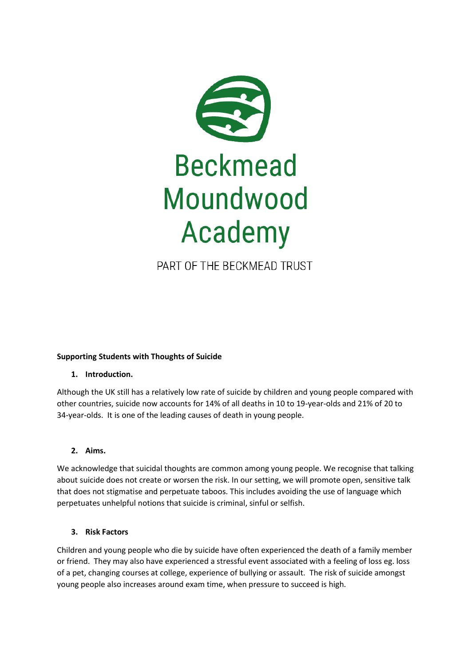

# PART OF THE BECKMEAD TRUST

# **Supporting Students with Thoughts of Suicide**

# **1. Introduction.**

Although the UK still has a relatively low rate of suicide by children and young people compared with other countries, suicide now accounts for 14% of all deaths in 10 to 19-year-olds and 21% of 20 to 34-year-olds. It is one of the leading causes of death in young people.

# **2. Aims.**

We acknowledge that suicidal thoughts are common among young people. We recognise that talking about suicide does not create or worsen the risk. In our setting, we will promote open, sensitive talk that does not stigmatise and perpetuate taboos. This includes avoiding the use of language which perpetuates unhelpful notions that suicide is criminal, sinful or selfish.

# **3. Risk Factors**

Children and young people who die by suicide have often experienced the death of a family member or friend. They may also have experienced a stressful event associated with a feeling of loss eg. loss of a pet, changing courses at college, experience of bullying or assault. The risk of suicide amongst young people also increases around exam time, when pressure to succeed is high.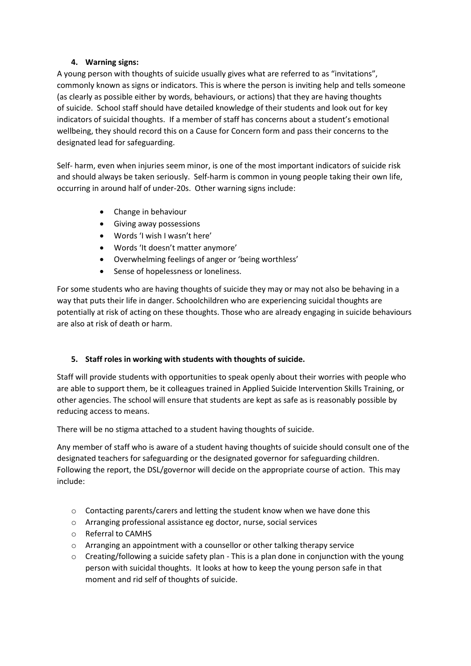# **4. Warning signs:**

A young person with thoughts of suicide usually gives what are referred to as "invitations", commonly known as signs or indicators. This is where the person is inviting help and tells someone (as clearly as possible either by words, behaviours, or actions) that they are having thoughts of suicide. School staff should have detailed knowledge of their students and look out for key indicators of suicidal thoughts. If a member of staff has concerns about a student's emotional wellbeing, they should record this on a Cause for Concern form and pass their concerns to the designated lead for safeguarding.

Self- harm, even when injuries seem minor, is one of the most important indicators of suicide risk and should always be taken seriously. Self-harm is common in young people taking their own life, occurring in around half of under-20s. Other warning signs include:

- Change in behaviour
- Giving away possessions
- Words 'I wish I wasn't here'
- Words 'It doesn't matter anymore'
- Overwhelming feelings of anger or 'being worthless'
- Sense of hopelessness or loneliness.

For some students who are having thoughts of suicide they may or may not also be behaving in a way that puts their life in danger. Schoolchildren who are experiencing suicidal thoughts are potentially at risk of acting on these thoughts. Those who are already engaging in suicide behaviours are also at risk of death or harm.

# **5. Staff roles in working with students with thoughts of suicide.**

Staff will provide students with opportunities to speak openly about their worries with people who are able to support them, be it colleagues trained in Applied Suicide Intervention Skills Training, or other agencies. The school will ensure that students are kept as safe as is reasonably possible by reducing access to means.

There will be no stigma attached to a student having thoughts of suicide.

Any member of staff who is aware of a student having thoughts of suicide should consult one of the designated teachers for safeguarding or the designated governor for safeguarding children. Following the report, the DSL/governor will decide on the appropriate course of action. This may include:

- o Contacting parents/carers and letting the student know when we have done this
- o Arranging professional assistance eg doctor, nurse, social services
- o Referral to CAMHS
- o Arranging an appointment with a counsellor or other talking therapy service
- $\circ$  Creating/following a suicide safety plan This is a plan done in conjunction with the young person with suicidal thoughts. It looks at how to keep the young person safe in that moment and rid self of thoughts of suicide.